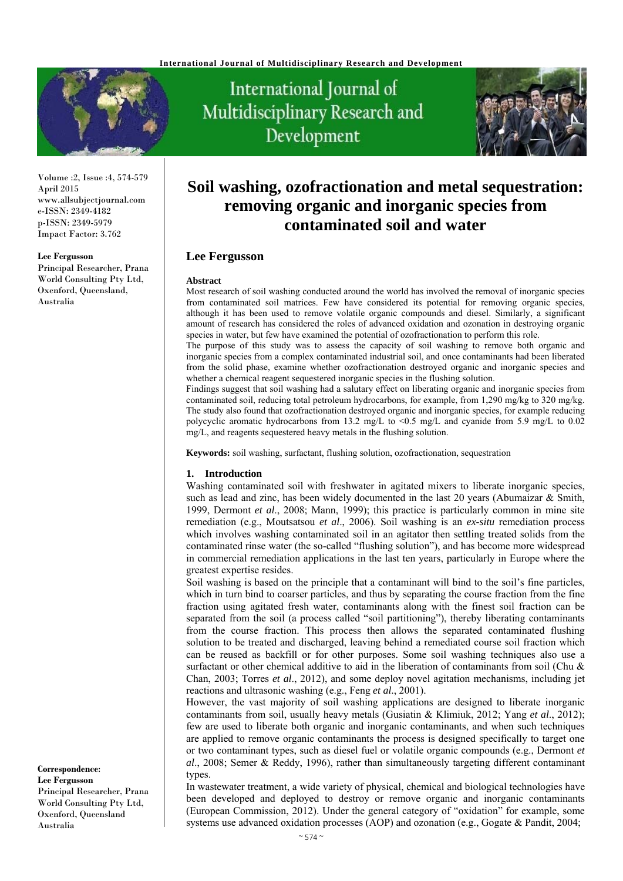

Volume :2, Issue :4, 574-579 April 2015 www.allsubjectjournal.com e-ISSN: 2349-4182 p-ISSN: 2349-5979 Impact Factor: 3.762

#### **Lee Fergusson**

Principal Researcher, Prana World Consulting Pty Ltd, Oxenford, Queensland, Australia

International Journal of Multidisciplinary Research and Development



# **Soil washing, ozofractionation and metal sequestration: removing organic and inorganic species from contaminated soil and water**

# **Lee Fergusson**

#### **Abstract**

Most research of soil washing conducted around the world has involved the removal of inorganic species from contaminated soil matrices. Few have considered its potential for removing organic species, although it has been used to remove volatile organic compounds and diesel. Similarly, a significant amount of research has considered the roles of advanced oxidation and ozonation in destroying organic species in water, but few have examined the potential of ozofractionation to perform this role.

The purpose of this study was to assess the capacity of soil washing to remove both organic and inorganic species from a complex contaminated industrial soil, and once contaminants had been liberated from the solid phase, examine whether ozofractionation destroyed organic and inorganic species and whether a chemical reagent sequestered inorganic species in the flushing solution.

Findings suggest that soil washing had a salutary effect on liberating organic and inorganic species from contaminated soil, reducing total petroleum hydrocarbons, for example, from 1,290 mg/kg to 320 mg/kg. The study also found that ozofractionation destroyed organic and inorganic species, for example reducing polycyclic aromatic hydrocarbons from 13.2 mg/L to <0.5 mg/L and cyanide from 5.9 mg/L to 0.02 mg/L, and reagents sequestered heavy metals in the flushing solution.

**Keywords:** soil washing, surfactant, flushing solution, ozofractionation, sequestration

#### **1. Introduction**

Washing contaminated soil with freshwater in agitated mixers to liberate inorganic species, such as lead and zinc, has been widely documented in the last 20 years (Abumaizar  $\&$  Smith, 1999, Dermont *et al*., 2008; Mann, 1999); this practice is particularly common in mine site remediation (e.g., Moutsatsou *et al*., 2006). Soil washing is an *ex-situ* remediation process which involves washing contaminated soil in an agitator then settling treated solids from the contaminated rinse water (the so-called "flushing solution"), and has become more widespread in commercial remediation applications in the last ten years, particularly in Europe where the greatest expertise resides.

Soil washing is based on the principle that a contaminant will bind to the soil's fine particles, which in turn bind to coarser particles, and thus by separating the course fraction from the fine fraction using agitated fresh water, contaminants along with the finest soil fraction can be separated from the soil (a process called "soil partitioning"), thereby liberating contaminants from the course fraction. This process then allows the separated contaminated flushing solution to be treated and discharged, leaving behind a remediated course soil fraction which can be reused as backfill or for other purposes. Some soil washing techniques also use a surfactant or other chemical additive to aid in the liberation of contaminants from soil (Chu  $\&$ Chan, 2003; Torres *et al*., 2012), and some deploy novel agitation mechanisms, including jet reactions and ultrasonic washing (e.g., Feng *et al*., 2001).

However, the vast majority of soil washing applications are designed to liberate inorganic contaminants from soil, usually heavy metals (Gusiatin & Klimiuk, 2012; Yang *et al*., 2012); few are used to liberate both organic and inorganic contaminants, and when such techniques are applied to remove organic contaminants the process is designed specifically to target one or two contaminant types, such as diesel fuel or volatile organic compounds (e.g., Dermont *et al*., 2008; Semer & Reddy, 1996), rather than simultaneously targeting different contaminant types.

In wastewater treatment, a wide variety of physical, chemical and biological technologies have been developed and deployed to destroy or remove organic and inorganic contaminants (European Commission, 2012). Under the general category of "oxidation" for example, some systems use advanced oxidation processes (AOP) and ozonation (e.g., Gogate & Pandit, 2004;

**Correspondence**: **Lee Fergusson**  Principal Researcher, Prana World Consulting Pty Ltd, Oxenford, Queensland Australia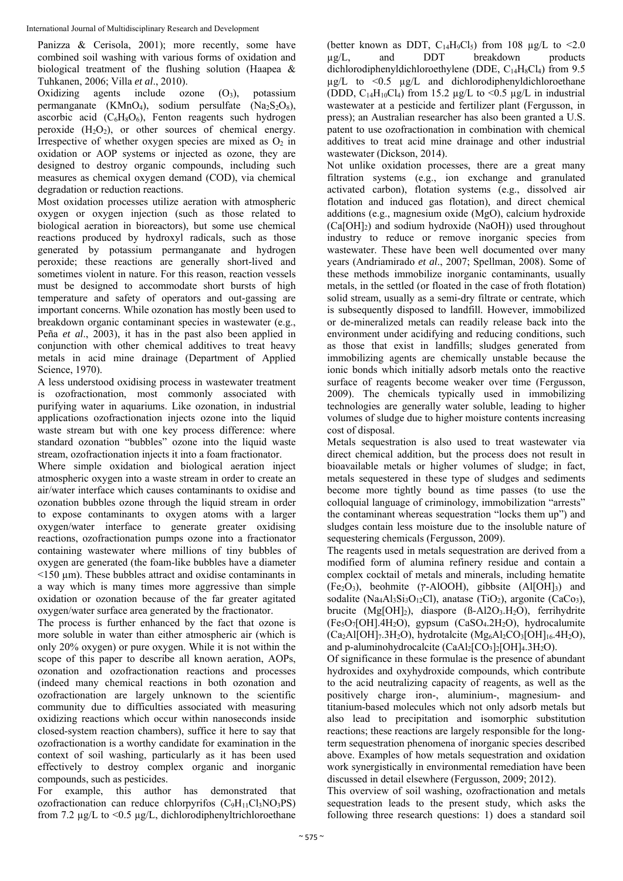Panizza & Cerisola, 2001); more recently, some have combined soil washing with various forms of oxidation and biological treatment of the flushing solution (Haapea & Tuhkanen, 2006; Villa *et al*., 2010).

Oxidizing agents include ozone  $(O_3)$ , potassium permanganate (KMnO<sub>4</sub>), sodium persulfate (Na<sub>2</sub>S<sub>2</sub>O<sub>8</sub>), ascorbic acid  $(C_6H_8O_6)$ , Fenton reagents such hydrogen peroxide  $(H_2O_2)$ , or other sources of chemical energy. Irrespective of whether oxygen species are mixed as  $O_2$  in oxidation or AOP systems or injected as ozone, they are designed to destroy organic compounds, including such measures as chemical oxygen demand (COD), via chemical degradation or reduction reactions.

Most oxidation processes utilize aeration with atmospheric oxygen or oxygen injection (such as those related to biological aeration in bioreactors), but some use chemical reactions produced by hydroxyl radicals, such as those generated by potassium permanganate and hydrogen peroxide; these reactions are generally short-lived and sometimes violent in nature. For this reason, reaction vessels must be designed to accommodate short bursts of high temperature and safety of operators and out-gassing are important concerns. While ozonation has mostly been used to breakdown organic contaminant species in wastewater (e.g., Peña *et al*., 2003), it has in the past also been applied in conjunction with other chemical additives to treat heavy metals in acid mine drainage (Department of Applied Science, 1970).

A less understood oxidising process in wastewater treatment is ozofractionation, most commonly associated with purifying water in aquariums. Like ozonation, in industrial applications ozofractionation injects ozone into the liquid waste stream but with one key process difference: where standard ozonation "bubbles" ozone into the liquid waste stream, ozofractionation injects it into a foam fractionator.

Where simple oxidation and biological aeration inject atmospheric oxygen into a waste stream in order to create an air/water interface which causes contaminants to oxidise and ozonation bubbles ozone through the liquid stream in order to expose contaminants to oxygen atoms with a larger oxygen/water interface to generate greater oxidising reactions, ozofractionation pumps ozone into a fractionator containing wastewater where millions of tiny bubbles of oxygen are generated (the foam-like bubbles have a diameter  $\leq$ 150  $\mu$ m). These bubbles attract and oxidise contaminants in a way which is many times more aggressive than simple oxidation or ozonation because of the far greater agitated oxygen/water surface area generated by the fractionator.

The process is further enhanced by the fact that ozone is more soluble in water than either atmospheric air (which is only 20% oxygen) or pure oxygen. While it is not within the scope of this paper to describe all known aeration, AOPs, ozonation and ozofractionation reactions and processes (indeed many chemical reactions in both ozonation and ozofractionation are largely unknown to the scientific community due to difficulties associated with measuring oxidizing reactions which occur within nanoseconds inside closed-system reaction chambers), suffice it here to say that ozofractionation is a worthy candidate for examination in the context of soil washing, particularly as it has been used effectively to destroy complex organic and inorganic compounds, such as pesticides.

For example, this author has demonstrated that ozofractionation can reduce chlorpyrifos  $(C_9H_{11}Cl_3NO_3PS)$ from 7.2 µg/L to <0.5 µg/L, dichlorodiphenyltrichloroethane

(better known as DDT,  $C_{14}H_9C_8$ ) from 108  $\mu g/L$  to <2.0<br>ug/L and DDT breakdown products  $\mu$ g/L, and DDT breakdown products dichlorodiphenyldichloroethylene (DDE,  $C_{14}H_8C_{4}$ ) from 9.5  $\mu$ g/L to <0.5  $\mu$ g/L and dichlorodiphenyldichloroethane (DDD,  $C_{14}H_{10}Cl_4$ ) from 15.2  $\mu$ g/L to <0.5  $\mu$ g/L in industrial wastewater at a pesticide and fertilizer plant (Fergusson, in press); an Australian researcher has also been granted a U.S. patent to use ozofractionation in combination with chemical additives to treat acid mine drainage and other industrial wastewater (Dickson, 2014).

Not unlike oxidation processes, there are a great many filtration systems (e.g., ion exchange and granulated activated carbon), flotation systems (e.g., dissolved air flotation and induced gas flotation), and direct chemical additions (e.g., magnesium oxide (MgO), calcium hydroxide  $(Ca[OH]_2)$  and sodium hydroxide (NaOH)) used throughout industry to reduce or remove inorganic species from wastewater. These have been well documented over many years (Andriamirado *et al*., 2007; Spellman, 2008). Some of these methods immobilize inorganic contaminants, usually metals, in the settled (or floated in the case of froth flotation) solid stream, usually as a semi-dry filtrate or centrate, which is subsequently disposed to landfill. However, immobilized or de-mineralized metals can readily release back into the environment under acidifying and reducing conditions, such as those that exist in landfills; sludges generated from immobilizing agents are chemically unstable because the ionic bonds which initially adsorb metals onto the reactive surface of reagents become weaker over time (Fergusson, 2009). The chemicals typically used in immobilizing technologies are generally water soluble, leading to higher volumes of sludge due to higher moisture contents increasing cost of disposal.

Metals sequestration is also used to treat wastewater via direct chemical addition, but the process does not result in bioavailable metals or higher volumes of sludge; in fact, metals sequestered in these type of sludges and sediments become more tightly bound as time passes (to use the colloquial language of criminology, immobilization "arrests" the contaminant whereas sequestration "locks them up") and sludges contain less moisture due to the insoluble nature of sequestering chemicals (Fergusson, 2009).

The reagents used in metals sequestration are derived from a modified form of alumina refinery residue and contain a complex cocktail of metals and minerals, including hematite  $(Fe_2O_3)$ , beohmite ( $\gamma$ -AlOOH), gibbsite (Al $[OH]_3$ ) and sodalite (Na<sub>4</sub>Al<sub>3</sub>Si<sub>3</sub>O<sub>12</sub>Cl), anatase (TiO<sub>2</sub>), argonite (CaCo<sub>3</sub>), brucite  $(Mg[OH]_2)$ , diaspore  $(B-Al2O_3.H_2O)$ , ferrihydrite (Fe5O7[OH].4H2O), gypsum (CaSO4.2H2O), hydrocalumite  $(Ca_2Al[OH]_7.3H_2O)$ , hydrotalcite  $(Mg_6Al_2CO_3[OH]_{16}.4H_2O)$ , and p-aluminohydrocalcite  $(CaAl<sub>2</sub>[CO<sub>3</sub>]<sub>2</sub>[OH]<sub>4</sub>.3H<sub>2</sub>O)$ .

Of significance in these formulae is the presence of abundant hydroxides and oxyhydroxide compounds, which contribute to the acid neutralizing capacity of reagents, as well as the positively charge iron-, aluminium-, magnesium- and titanium-based molecules which not only adsorb metals but also lead to precipitation and isomorphic substitution reactions; these reactions are largely responsible for the longterm sequestration phenomena of inorganic species described above. Examples of how metals sequestration and oxidation work synergistically in environmental remediation have been discussed in detail elsewhere (Fergusson, 2009; 2012).

This overview of soil washing, ozofractionation and metals sequestration leads to the present study, which asks the following three research questions: 1) does a standard soil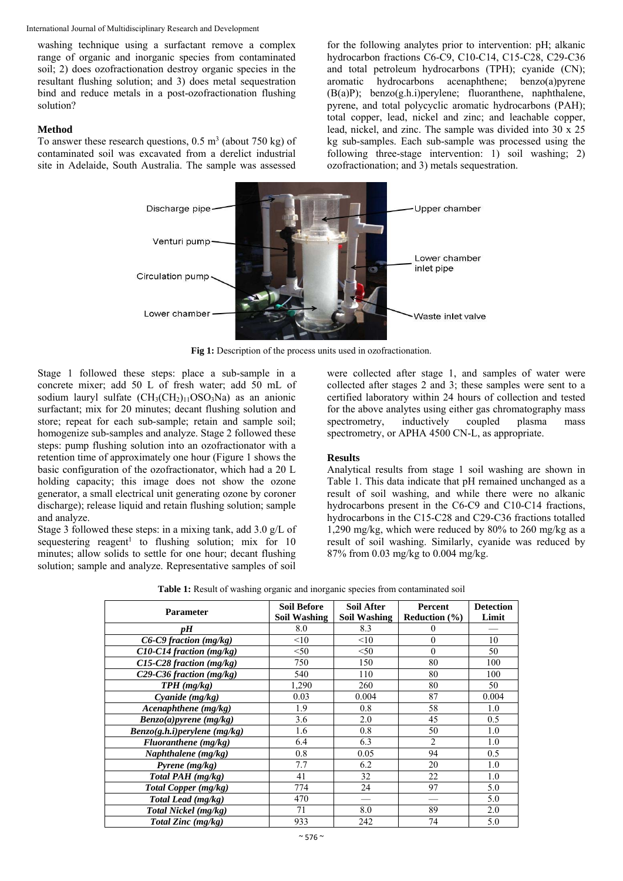washing technique using a surfactant remove a complex range of organic and inorganic species from contaminated soil; 2) does ozofractionation destroy organic species in the resultant flushing solution; and 3) does metal sequestration bind and reduce metals in a post-ozofractionation flushing solution?

## **Method**

To answer these research questions,  $0.5 \text{ m}^3$  (about 750 kg) of contaminated soil was excavated from a derelict industrial site in Adelaide, South Australia. The sample was assessed

for the following analytes prior to intervention: pH; alkanic hydrocarbon fractions C6-C9, C10-C14, C15-C28, C29-C36 and total petroleum hydrocarbons (TPH); cyanide (CN); aromatic hydrocarbons acenaphthene; benzo(a)pyrene (B(a)P); benzo(g.h.i)perylene; fluoranthene, naphthalene, pyrene, and total polycyclic aromatic hydrocarbons (PAH); total copper, lead, nickel and zinc; and leachable copper, lead, nickel, and zinc. The sample was divided into 30 x 25 kg sub-samples. Each sub-sample was processed using the following three-stage intervention: 1) soil washing; 2) ozofractionation; and 3) metals sequestration.



**Fig 1:** Description of the process units used in ozofractionation.

Stage 1 followed these steps: place a sub-sample in a concrete mixer; add 50 L of fresh water; add 50 mL of sodium lauryl sulfate  $(CH<sub>3</sub>(CH<sub>2</sub>)<sub>11</sub>OSO<sub>3</sub>Na)$  as an anionic surfactant; mix for 20 minutes; decant flushing solution and store; repeat for each sub-sample; retain and sample soil; homogenize sub-samples and analyze. Stage 2 followed these steps: pump flushing solution into an ozofractionator with a retention time of approximately one hour (Figure 1 shows the basic configuration of the ozofractionator, which had a 20 L holding capacity; this image does not show the ozone generator, a small electrical unit generating ozone by coroner discharge); release liquid and retain flushing solution; sample and analyze.

Stage 3 followed these steps: in a mixing tank, add 3.0 g/L of sequestering reagent<sup>1</sup> to flushing solution; mix for  $10$ minutes; allow solids to settle for one hour; decant flushing solution; sample and analyze. Representative samples of soil were collected after stage 1, and samples of water were collected after stages 2 and 3; these samples were sent to a certified laboratory within 24 hours of collection and tested for the above analytes using either gas chromatography mass spectrometry, inductively coupled plasma mass spectrometry, or APHA 4500 CN-L, as appropriate.

# **Results**

Analytical results from stage 1 soil washing are shown in Table 1. This data indicate that pH remained unchanged as a result of soil washing, and while there were no alkanic hydrocarbons present in the C6-C9 and C10-C14 fractions, hydrocarbons in the C15-C28 and C29-C36 fractions totalled 1,290 mg/kg, which were reduced by 80% to 260 mg/kg as a result of soil washing. Similarly, cyanide was reduced by 87% from 0.03 mg/kg to 0.004 mg/kg.

| <b>Parameter</b>             | <b>Soil Before</b>  | <b>Soil After</b>   | Percent           | <b>Detection</b> |
|------------------------------|---------------------|---------------------|-------------------|------------------|
|                              | <b>Soil Washing</b> | <b>Soil Washing</b> | Reduction $(\% )$ | Limit            |
| vН                           | 8.0                 | 8.3                 | $\Omega$          |                  |
| C6-C9 fraction (mg/kg)       | <10                 | <10                 | $\theta$          | 10               |
| C10-C14 fraction (mg/kg)     | < 50                | < 50                | $\theta$          | 50               |
| C15-C28 fraction (mg/kg)     | 750                 | 150                 | 80                | 100              |
| C29-C36 fraction (mg/kg)     | 540                 | 110                 | 80                | 100              |
| $TPH$ (mg/kg)                | 1,290               | 260                 | 80                | 50               |
| Cyanide $(mg/kg)$            | 0.03                | 0.004               | 87                | 0.004            |
| Acenaphthene (mg/kg)         | 1.9                 | 0.8                 | 58                | 1.0              |
| Benzo(a)pyrene(mg/kg)        | 3.6                 | 2.0                 | 45                | 0.5              |
| Benzo(g.h.i)perylene (mg/kg) | 1.6                 | 0.8                 | 50                | 1.0              |
| Fluoranthene (mg/kg)         | 6.4                 | 6.3                 | $\mathfrak{D}$    | 1.0              |
| Naphthalene $(mg/kg)$        | 0.8                 | 0.05                | 94                | 0.5              |
| Pyrene $(mg/kg)$             | 7.7                 | 6.2                 | 20                | 1.0              |
| Total PAH (mg/kg)            | 41                  | 32                  | 22                | 1.0              |
| Total Copper (mg/kg)         | 774                 | 24                  | 97                | 5.0              |
| Total Lead (mg/kg)           | 470                 |                     |                   | 5.0              |
| Total Nickel (mg/kg)         | 71                  | 8.0                 | 89                | 2.0              |
| Total Zinc (mg/kg)           | 933                 | 242                 | 74                | 5.0              |

**Table 1:** Result of washing organic and inorganic species from contaminated soil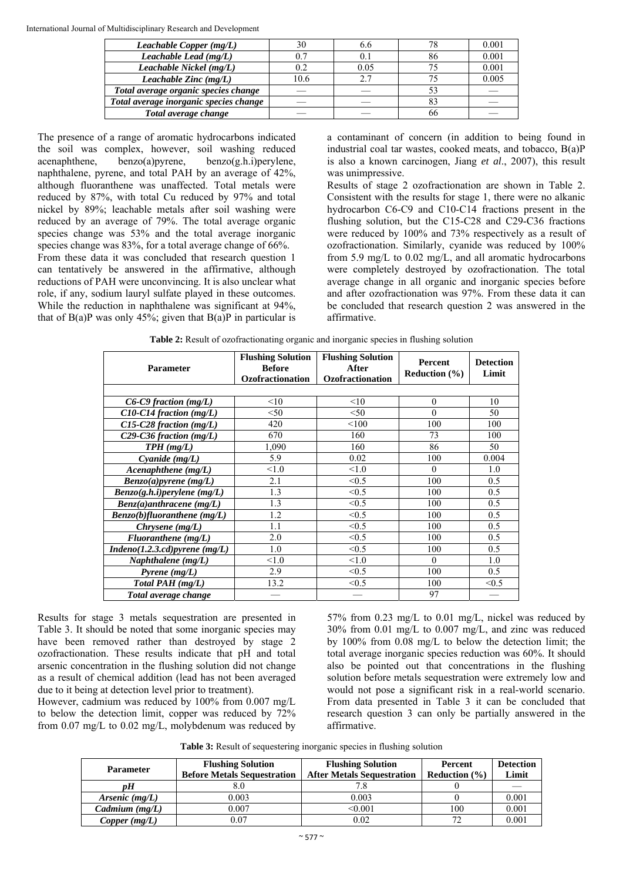| Leachable Copper $(mg/L)$              |      | 0.0  | 78 | 0.001 |
|----------------------------------------|------|------|----|-------|
| Leachable Lead (mg/L)                  |      |      | 86 | 0.001 |
| Leachable Nickel (mg/L)                | 0.2  | 0.05 |    | 0.001 |
| Leachable Zinc (mg/L)                  | 10.6 |      |    | 0.005 |
| Total average organic species change   |      |      |    |       |
| Total average inorganic species change |      |      |    |       |
| Total average change                   |      |      | nn |       |

The presence of a range of aromatic hydrocarbons indicated the soil was complex, however, soil washing reduced acenaphthene, benzo(a)pyrene, benzo(g.h.i)perylene, naphthalene, pyrene, and total PAH by an average of 42%, although fluoranthene was unaffected. Total metals were reduced by 87%, with total Cu reduced by 97% and total nickel by 89%; leachable metals after soil washing were reduced by an average of 79%. The total average organic species change was 53% and the total average inorganic species change was 83%, for a total average change of 66%.

From these data it was concluded that research question 1 can tentatively be answered in the affirmative, although reductions of PAH were unconvincing. It is also unclear what role, if any, sodium lauryl sulfate played in these outcomes. While the reduction in naphthalene was significant at 94%, that of B(a)P was only 45%; given that B(a)P in particular is

a contaminant of concern (in addition to being found in industrial coal tar wastes, cooked meats, and tobacco, B(a)P is also a known carcinogen, Jiang *et al*., 2007), this result was unimpressive.

Results of stage 2 ozofractionation are shown in Table 2. Consistent with the results for stage 1, there were no alkanic hydrocarbon C6-C9 and C10-C14 fractions present in the flushing solution, but the C15-C28 and C29-C36 fractions were reduced by 100% and 73% respectively as a result of ozofractionation. Similarly, cyanide was reduced by 100% from 5.9 mg/L to 0.02 mg/L, and all aromatic hydrocarbons were completely destroyed by ozofractionation. The total average change in all organic and inorganic species before and after ozofractionation was 97%. From these data it can be concluded that research question 2 was answered in the affirmative.

| <b>Parameter</b>                                 | <b>Flushing Solution</b><br><b>Before</b><br><b>Ozofractionation</b> | <b>Flushing Solution</b><br><b>After</b><br>Ozofractionation | <b>Percent</b><br><b>Reduction</b> $(\% )$ | <b>Detection</b><br>Limit |
|--------------------------------------------------|----------------------------------------------------------------------|--------------------------------------------------------------|--------------------------------------------|---------------------------|
|                                                  |                                                                      |                                                              |                                            |                           |
| C6-C9 fraction (mg/L)                            | <10                                                                  | <10                                                          | $\theta$                                   | 10                        |
| $C10$ -C14 fraction (mg/L)                       | $50$                                                                 | < 50                                                         | $\Omega$                                   | 50                        |
| $C15-C28$ fraction (mg/L)                        | 420                                                                  | < 100                                                        | 100                                        | 100                       |
| C <sub>29</sub> -C <sub>36</sub> fraction (mg/L) | 670                                                                  | 160                                                          | 73                                         | 100                       |
| $TPH$ (mg/L)                                     | 1,090                                                                | 160                                                          | 86                                         | 50                        |
| Cyanide $(mg/L)$                                 | 5.9                                                                  | 0.02                                                         | 100                                        | 0.004                     |
| Acenaphthene (mg/L)                              | $\leq 1.0$                                                           | < 1.0                                                        | $\Omega$                                   | 1.0                       |
| Benzo(a)pyrene (mg/L)                            | 2.1                                                                  | < 0.5                                                        | 100                                        | 0.5                       |
| $Benzo(g.h.i)$ perylene (mg/L)                   | 1.3                                                                  | < 0.5                                                        | 100                                        | 0.5                       |
| $Benz(a)$ anthracene (mg/L)                      | 1.3                                                                  | < 0.5                                                        | 100                                        | 0.5                       |
| $Benzo(b)$ fluoranthene (mg/L)                   | 1.2                                                                  | < 0.5                                                        | 100                                        | 0.5                       |
| Chrysene $(mg/L)$                                | 1.1                                                                  | < 0.5                                                        | 100                                        | 0.5                       |
| Fluoranthene (mg/L)                              | 2.0                                                                  | < 0.5                                                        | 100                                        | 0.5                       |
| $\overline{Indeno(1.2.3.cd)pyrene(mg/L)}$        | 1.0                                                                  | < 0.5                                                        | 100                                        | 0.5                       |
| Naphthalene (mg/L)                               | < 1.0                                                                | < 1.0                                                        | $\theta$                                   | 1.0                       |
| Pyrene $(mg/L)$                                  | 2.9                                                                  | < 0.5                                                        | 100                                        | 0.5                       |
| Total PAH (mg/L)                                 | 13.2                                                                 | < 0.5                                                        | 100                                        | < 0.5                     |
| Total average change                             |                                                                      |                                                              | 97                                         |                           |

|  |  |  |  | Table 2: Result of ozofractionating organic and inorganic species in flushing solution |  |  |
|--|--|--|--|----------------------------------------------------------------------------------------|--|--|

Results for stage 3 metals sequestration are presented in Table 3. It should be noted that some inorganic species may have been removed rather than destroyed by stage 2 ozofractionation. These results indicate that pH and total arsenic concentration in the flushing solution did not change as a result of chemical addition (lead has not been averaged due to it being at detection level prior to treatment).

However, cadmium was reduced by 100% from 0.007 mg/L to below the detection limit, copper was reduced by 72% from 0.07 mg/L to 0.02 mg/L, molybdenum was reduced by

57% from 0.23 mg/L to 0.01 mg/L, nickel was reduced by 30% from 0.01 mg/L to 0.007 mg/L, and zinc was reduced by 100% from 0.08 mg/L to below the detection limit; the total average inorganic species reduction was 60%. It should also be pointed out that concentrations in the flushing solution before metals sequestration were extremely low and would not pose a significant risk in a real-world scenario. From data presented in Table 3 it can be concluded that research question 3 can only be partially answered in the affirmative.

|  |  | <b>Table 3:</b> Result of sequestering inorganic species in flushing solution |
|--|--|-------------------------------------------------------------------------------|
|  |  |                                                                               |
|  |  |                                                                               |

| <b>Parameter</b> | <b>Flushing Solution</b><br><b>Before Metals Sequestration</b> | <b>Flushing Solution</b><br><b>After Metals Sequestration</b> | <b>Percent</b><br>Reduction $(\% )$ | <b>Detection</b><br>Limit |
|------------------|----------------------------------------------------------------|---------------------------------------------------------------|-------------------------------------|---------------------------|
| nН               |                                                                |                                                               |                                     |                           |
| Arsenic $(mg/L)$ | 0.003                                                          | 0.003                                                         |                                     | 0.001                     |
| Cadmium $(mg/L)$ | 0.007                                                          | < 0.001                                                       | 100                                 | 0.001                     |
| Copper (mg/L)    | 0.07                                                           | 0.02                                                          | 70                                  | 0.001                     |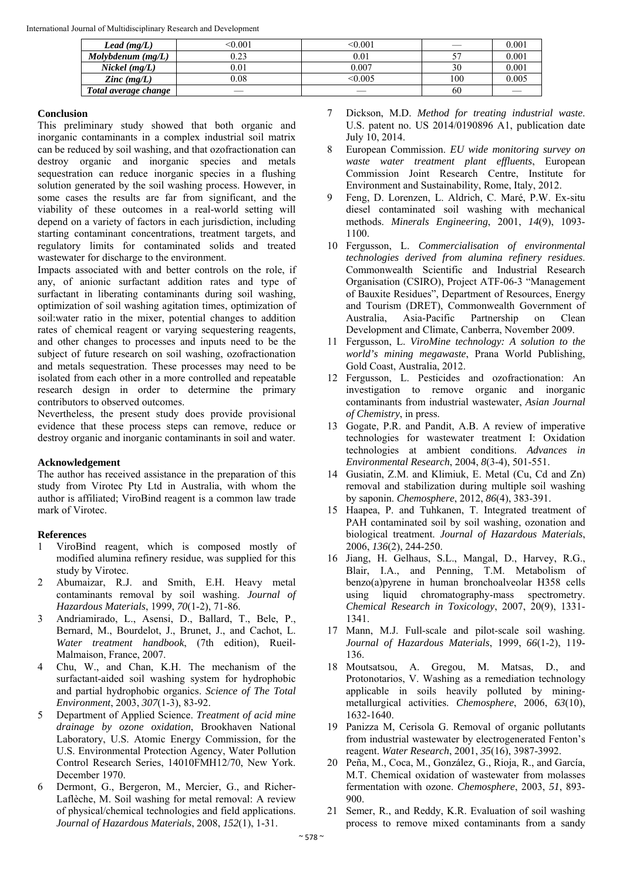| Lead $(mg/L)$           | < 0.001 | < 0.001   |     | 0.001 |
|-------------------------|---------|-----------|-----|-------|
| $Molybdenum$ (mg/L)     | 0.23    | $_{0.01}$ |     | 0.001 |
| $Nickel$ (mg/L)         | 0.01    | $0.007\,$ | 30  | 0.001 |
| $\mathbf{Z}$ inc (mg/L) | 0.08    | < 0.005   | 100 | 0.005 |
| Total average change    |         |           | 60  |       |

## **Conclusion**

This preliminary study showed that both organic and inorganic contaminants in a complex industrial soil matrix can be reduced by soil washing, and that ozofractionation can destroy organic and inorganic species and metals sequestration can reduce inorganic species in a flushing solution generated by the soil washing process. However, in some cases the results are far from significant, and the viability of these outcomes in a real-world setting will depend on a variety of factors in each jurisdiction, including starting contaminant concentrations, treatment targets, and regulatory limits for contaminated solids and treated wastewater for discharge to the environment.

Impacts associated with and better controls on the role, if any, of anionic surfactant addition rates and type of surfactant in liberating contaminants during soil washing, optimization of soil washing agitation times, optimization of soil:water ratio in the mixer, potential changes to addition rates of chemical reagent or varying sequestering reagents, and other changes to processes and inputs need to be the subject of future research on soil washing, ozofractionation and metals sequestration. These processes may need to be isolated from each other in a more controlled and repeatable research design in order to determine the primary contributors to observed outcomes.

Nevertheless, the present study does provide provisional evidence that these process steps can remove, reduce or destroy organic and inorganic contaminants in soil and water.

### **Acknowledgement**

The author has received assistance in the preparation of this study from Virotec Pty Ltd in Australia, with whom the author is affiliated; ViroBind reagent is a common law trade mark of Virotec.

# **References**

- 1 ViroBind reagent, which is composed mostly of modified alumina refinery residue, was supplied for this study by Virotec.
- 2 Abumaizar, R.J. and Smith, E.H. Heavy metal contaminants removal by soil washing. *Journal of Hazardous Materials*, 1999, *70*(1-2), 71-86.
- 3 Andriamirado, L., Asensi, D., Ballard, T., Bele, P., Bernard, M., Bourdelot, J., Brunet, J., and Cachot, L. *Water treatment handbook*, (7th edition), Rueil-Malmaison, France, 2007.
- 4 Chu, W., and Chan, K.H. The mechanism of the surfactant-aided soil washing system for hydrophobic and partial hydrophobic organics. *Science of The Total Environment*, 2003, *307*(1-3), 83-92.
- 5 Department of Applied Science. *Treatment of acid mine drainage by ozone oxidation*, Brookhaven National Laboratory, U.S. Atomic Energy Commission, for the U.S. Environmental Protection Agency, Water Pollution Control Research Series, 14010FMH12/70, New York. December 1970.
- 6 Dermont, G., Bergeron, M., Mercier, G., and Richer-Laflèche, M. Soil washing for metal removal: A review of physical/chemical technologies and field applications. *Journal of Hazardous Materials*, 2008, *152*(1), 1-31.
- 7 Dickson, M.D. *Method for treating industrial waste*. U.S. patent no. US 2014/0190896 A1, publication date July 10, 2014.
- 8 European Commission. *EU wide monitoring survey on waste water treatment plant effluents*, European Commission Joint Research Centre, Institute for Environment and Sustainability, Rome, Italy, 2012.
- 9 Feng, D. Lorenzen, L. Aldrich, C. Maré, P.W. Ex-situ diesel contaminated soil washing with mechanical methods. *Minerals Engineering*, 2001, *14*(9), 1093- 1100.
- 10 Fergusson, L. *Commercialisation of environmental technologies derived from alumina refinery residues*. Commonwealth Scientific and Industrial Research Organisation (CSIRO), Project ATF-06-3 "Management of Bauxite Residues", Department of Resources, Energy and Tourism (DRET), Commonwealth Government of Australia, Asia-Pacific Partnership on Clean Development and Climate, Canberra, November 2009.
- 11 Fergusson, L. *ViroMine technology: A solution to the world's mining megawaste*, Prana World Publishing, Gold Coast, Australia, 2012.
- 12 Fergusson, L. Pesticides and ozofractionation: An investigation to remove organic and inorganic contaminants from industrial wastewater, *Asian Journal of Chemistry*, in press.
- 13 Gogate, P.R. and Pandit, A.B. A review of imperative technologies for wastewater treatment I: Oxidation technologies at ambient conditions. *Advances in Environmental Research*, 2004, *8*(3-4), 501-551.
- 14 Gusiatin, Z.M. and Klimiuk, E. Metal (Cu, Cd and Zn) removal and stabilization during multiple soil washing by saponin. *Chemosphere*, 2012, *86*(4), 383-391.
- 15 Haapea, P. and Tuhkanen, T. Integrated treatment of PAH contaminated soil by soil washing, ozonation and biological treatment. *Journal of Hazardous Materials*, 2006, *136*(2), 244-250.
- 16 Jiang, H. Gelhaus, S.L., Mangal, D., Harvey, R.G., Blair, I.A., and Penning, T.M. Metabolism of benzo(a)pyrene in human bronchoalveolar H358 cells using liquid chromatography-mass spectrometry. *Chemical Research in Toxicology*, 2007, 20(9), 1331- 1341.
- 17 Mann, M.J. Full-scale and pilot-scale soil washing. *Journal of Hazardous Materials*, 1999, *66*(1-2), 119- 136.
- 18 Moutsatsou, A. Gregou, M. Matsas, D., and Protonotarios, V. Washing as a remediation technology applicable in soils heavily polluted by miningmetallurgical activities. *Chemosphere*, 2006, *63*(10), 1632-1640.
- 19 Panizza M, Cerisola G. Removal of organic pollutants from industrial wastewater by electrogenerated Fenton's reagent. *Water Research*, 2001, *35*(16), 3987-3992.
- 20 Peña, M., Coca, M., González, G., Rioja, R., and García, M.T. Chemical oxidation of wastewater from molasses fermentation with ozone. *Chemosphere*, 2003, *51*, 893- 900.
- 21 Semer, R., and Reddy, K.R. Evaluation of soil washing process to remove mixed contaminants from a sandy